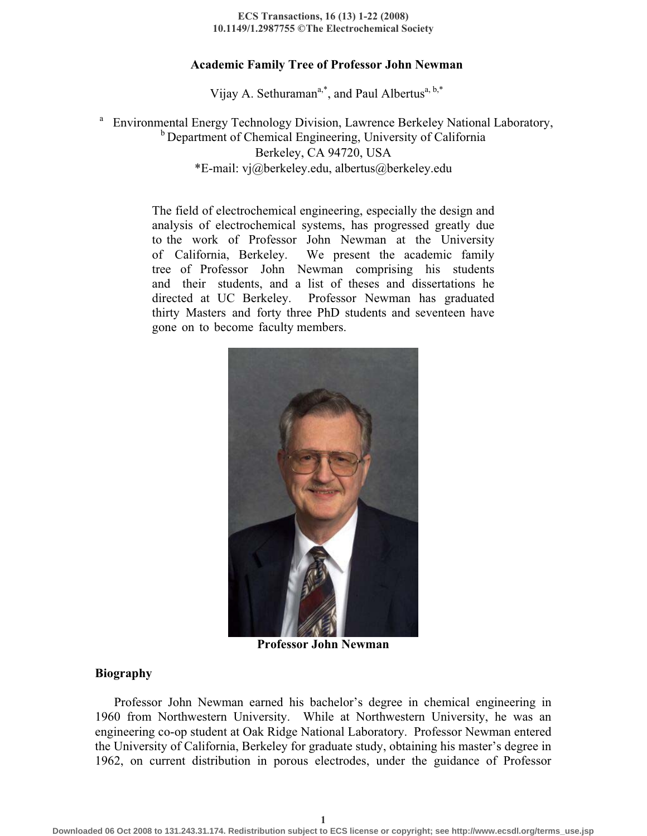#### **ECS Transactions, 16 (13) 1-22 (2008) 10.1149/1.2987755 © The Electrochemical Society**

### **Academic Family Tree of Professor John Newman**

Vijay A. Sethuraman<sup>a,\*</sup>, and Paul Albertus<sup>a, b,\*</sup>

a <sup>b</sup> Department of Chemical Engineering, University of California Berkeley, CA 94720, USA \*E-mail: vj@berkeley.edu, albertus@berkeley.edu Environmental Energy Technology Division, Lawrence Berkeley National Laboratory,

> The field of electrochemical engineering, especially the design and analysis of electrochemical systems, has progressed greatly due to the work of Professor John Newman at the University of California, Berkeley. We present the academic family tree of Professor John Newman comprising his students and their students, and a list of theses and dissertations he directed at UC Berkeley. Professor Newman has graduated thirty Masters and forty three PhD students and seventeen have gone on to become faculty members.



**Professor John Newman** 

#### **Biography**

Professor John Newman earned his bachelor's degree in chemical engineering in 1960 from Northwestern University. While at Northwestern University, he was an engineering co-op student at Oak Ridge National Laboratory. Professor Newman entered the University of California, Berkeley for graduate study, obtaining his master's degree in 1962, on current distribution in porous electrodes, under the guidance of Professor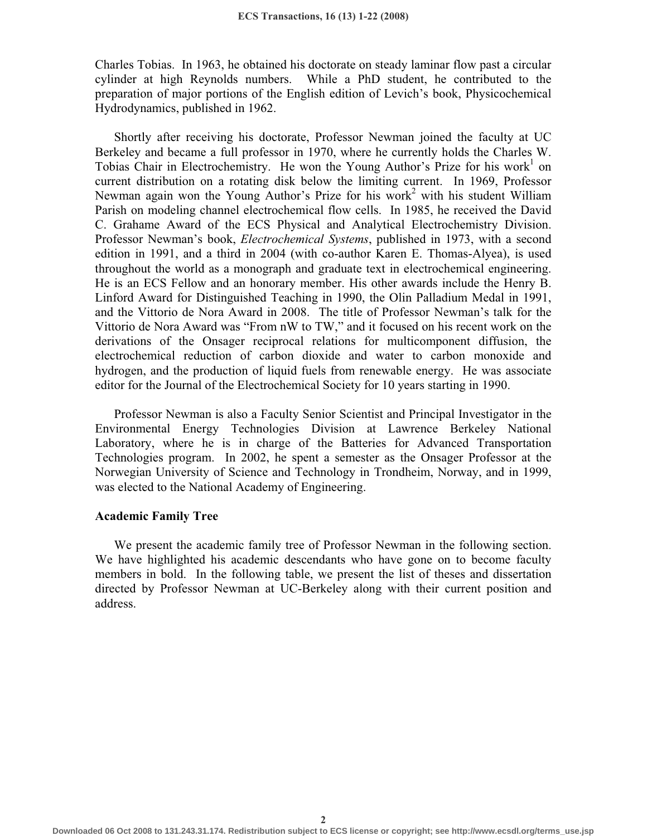Charles Tobias. In 1963, he obtained his doctorate on steady laminar flow past a circular cylinder at high Reynolds numbers. While a PhD student, he contributed to the preparation of major portions of the English edition of Levich's book, Physicochemical Hydrodynamics, published in 1962.

Shortly after receiving his doctorate, Professor Newman joined the faculty at UC Berkeley and became a full professor in 1970, where he currently holds the Charles W. Tobias Chair in Electrochemistry. He won the Young Author's Prize for his work<sup>1</sup> on current distribution on a rotating disk below the limiting current. In 1969, Professor Newman again won the Young Author's Prize for his work<sup>2</sup> with his student William Parish on modeling channel electrochemical flow cells. In 1985, he received the David C. Grahame Award of the ECS Physical and Analytical Electrochemistry Division. Professor Newman's book, *Electrochemical Systems*, published in 1973, with a second edition in 1991, and a third in 2004 (with co-author Karen E. Thomas-Alyea), is used throughout the world as a monograph and graduate text in electrochemical engineering. He is an ECS Fellow and an honorary member. His other awards include the Henry B. Linford Award for Distinguished Teaching in 1990, the Olin Palladium Medal in 1991, and the Vittorio de Nora Award in 2008. The title of Professor Newman's talk for the Vittorio de Nora Award was "From nW to TW," and it focused on his recent work on the derivations of the Onsager reciprocal relations for multicomponent diffusion, the electrochemical reduction of carbon dioxide and water to carbon monoxide and hydrogen, and the production of liquid fuels from renewable energy. He was associate editor for the Journal of the Electrochemical Society for 10 years starting in 1990.

Professor Newman is also a Faculty Senior Scientist and Principal Investigator in the Environmental Energy Technologies Division at Lawrence Berkeley National Laboratory, where he is in charge of the Batteries for Advanced Transportation Technologies program. In 2002, he spent a semester as the Onsager Professor at the Norwegian University of Science and Technology in Trondheim, Norway, and in 1999, was elected to the National Academy of Engineering.

### **Academic Family Tree**

We present the academic family tree of Professor Newman in the following section. We have highlighted his academic descendants who have gone on to become faculty members in bold. In the following table, we present the list of theses and dissertation directed by Professor Newman at UC-Berkeley along with their current position and address.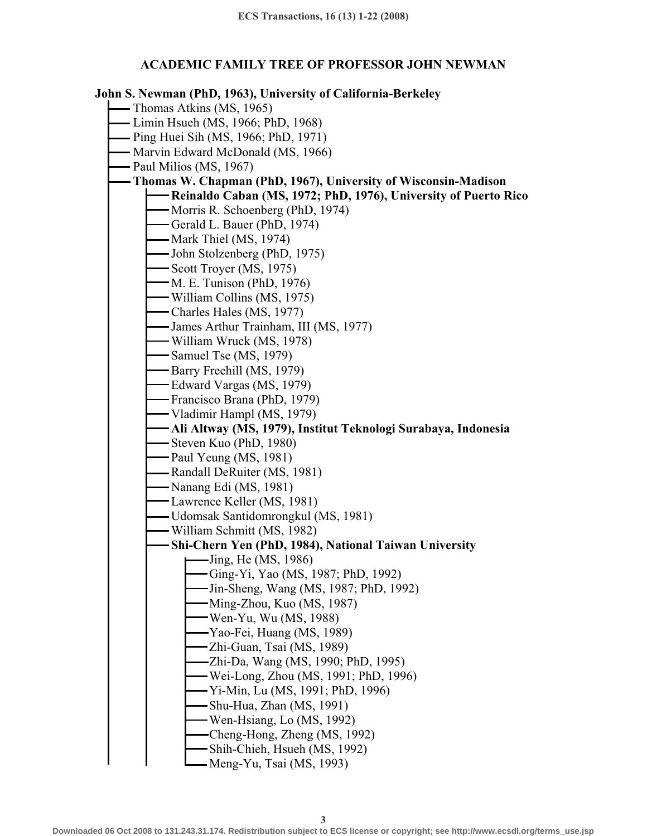## **ACADEMIC FAMILY TREE OF PROFESSOR JOHN NEWMAN**

## **John S. Newman (PhD, 1963), University of California-Berkeley**

- Thomas Atkins (MS, 1965)
- Limin Hsueh (MS, 1966; PhD, 1968)
- Ping Huei Sih (MS, 1966; PhD, 1971)
- Marvin Edward McDonald (MS, 1966)
- Paul Milios (MS, 1967)

# **Thomas W. Chapman (PhD, 1967), University of Wisconsin-Madison**

- **Reinaldo Caban (MS, 1972; PhD, 1976), University of Puerto Rico**
- Morris R. Schoenberg (PhD, 1974)
- Gerald L. Bauer (PhD, 1974)
- $-Mark$  Thiel (MS, 1974)
- John Stolzenberg (PhD, 1975)
- $-$  Scott Troyer (MS, 1975)
- M. E. Tunison (PhD, 1976)
- William Collins (MS, 1975)
- Charles Hales (MS, 1977)
- James Arthur Trainham, III (MS, 1977)
- William Wruck (MS, 1978)
- Samuel Tse (MS, 1979)
- Barry Freehill (MS, 1979)
- Edward Vargas (MS, 1979)
- Francisco Brana (PhD, 1979)
- Vladimir Hampl (MS, 1979)
	- **Ali Altway (MS, 1979), Institut Teknologi Surabaya, Indonesia**
- Steven Kuo (PhD, 1980)
- Paul Yeung (MS, 1981)
- Randall DeRuiter (MS, 1981)
- Nanang Edi (MS, 1981)
- Lawrence Keller (MS, 1981)
- Udomsak Santidomrongkul (MS, 1981)
- William Schmitt (MS, 1982)
- **Shi-Chern Yen (PhD, 1984), National Taiwan University** 
	- Jing, He (MS, 1986)
	- Ging-Yi, Yao (MS, 1987; PhD, 1992)
	- Jin-Sheng, Wang (MS, 1987; PhD, 1992)
	- Ming-Zhou, Kuo (MS, 1987)
	- Wen-Yu, Wu (MS, 1988)
	- Yao-Fei, Huang (MS, 1989)
	- Zhi-Guan, Tsai (MS, 1989)
	- Zhi-Da, Wang (MS, 1990; PhD, 1995)
	- Wei-Long, Zhou (MS, 1991; PhD, 1996)
	- Yi-Min, Lu (MS, 1991; PhD, 1996)
	- Shu-Hua, Zhan (MS, 1991)
	- Wen-Hsiang, Lo (MS, 1992)
	- Cheng-Hong, Zheng (MS, 1992)
	- Shih-Chieh, Hsueh (MS, 1992)
	- Meng-Yu, Tsai (MS, 1993)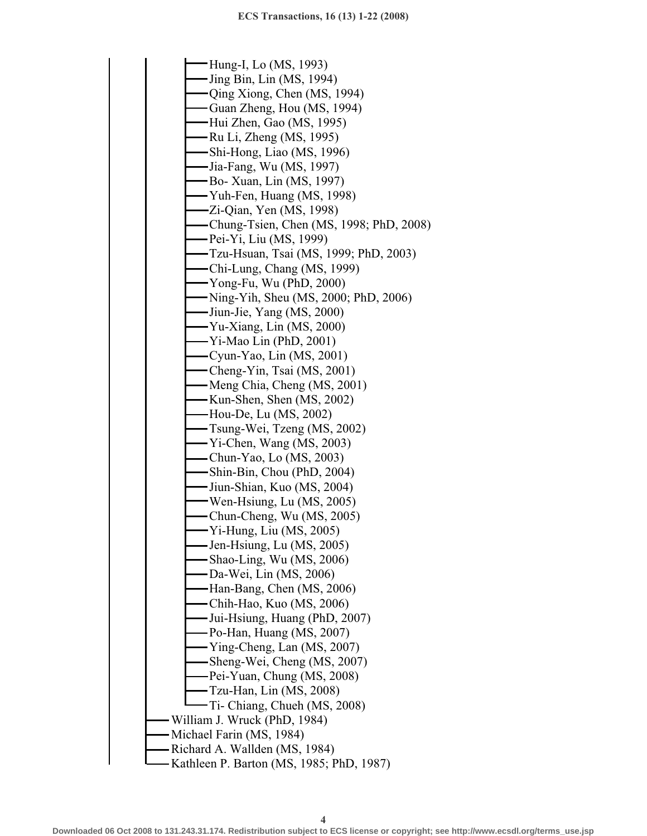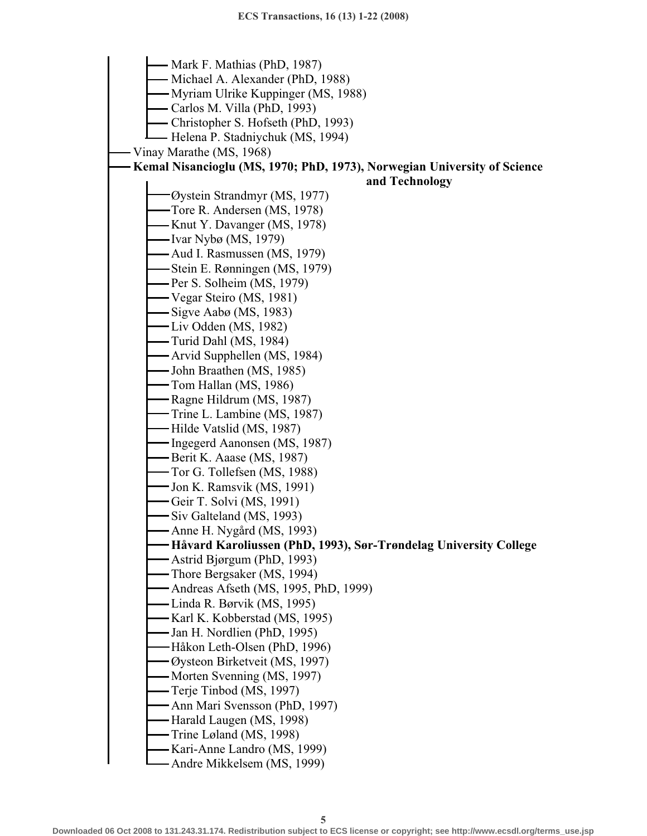Mark F. Mathias (PhD, 1987) Michael A. Alexander (PhD, 1988) Myriam Ulrike Kuppinger (MS, 1988) Carlos M. Villa (PhD, 1993) Christopher S. Hofseth (PhD, 1993) Helena P. Stadniychuk (MS, 1994) Vinay Marathe (MS, 1968) **Kemal Nisancioglu (MS, 1970; PhD, 1973), Norwegian University of Science and Technology**  Øystein Strandmyr (MS, 1977) Tore R. Andersen (MS, 1978) - Knut Y. Davanger (MS, 1978) Ivar Nybø (MS, 1979) Aud I. Rasmussen (MS, 1979) Stein E. Rønningen (MS, 1979) Per S. Solheim (MS, 1979) Vegar Steiro (MS, 1981) Sigve Aabø (MS, 1983) Liv Odden (MS, 1982) Turid Dahl (MS, 1984) Arvid Supphellen (MS, 1984) John Braathen (MS, 1985) Tom Hallan (MS, 1986) - Ragne Hildrum (MS, 1987) Trine L. Lambine (MS, 1987) Hilde Vatslid (MS, 1987) Ingegerd Aanonsen (MS, 1987) Berit K. Aaase (MS, 1987) Tor G. Tollefsen (MS, 1988) Jon K. Ramsvik (MS, 1991) Geir T. Solvi (MS, 1991) Siv Galteland (MS, 1993) Anne H. Nygård (MS, 1993) **Håvard Karoliussen (PhD, 1993), Sør-Trøndelag University College**  Astrid Bjørgum (PhD, 1993) Thore Bergsaker (MS, 1994) Andreas Afseth (MS, 1995, PhD, 1999) Linda R. Børvik (MS, 1995) Karl K. Kobberstad (MS, 1995) Jan H. Nordlien (PhD, 1995) Håkon Leth-Olsen (PhD, 1996) Øysteon Birketveit (MS, 1997) – Morten Svenning (MS, 1997) Terje Tinbod (MS, 1997) Ann Mari Svensson (PhD, 1997) - Harald Laugen (MS, 1998) Trine Løland (MS, 1998) Kari-Anne Landro (MS, 1999)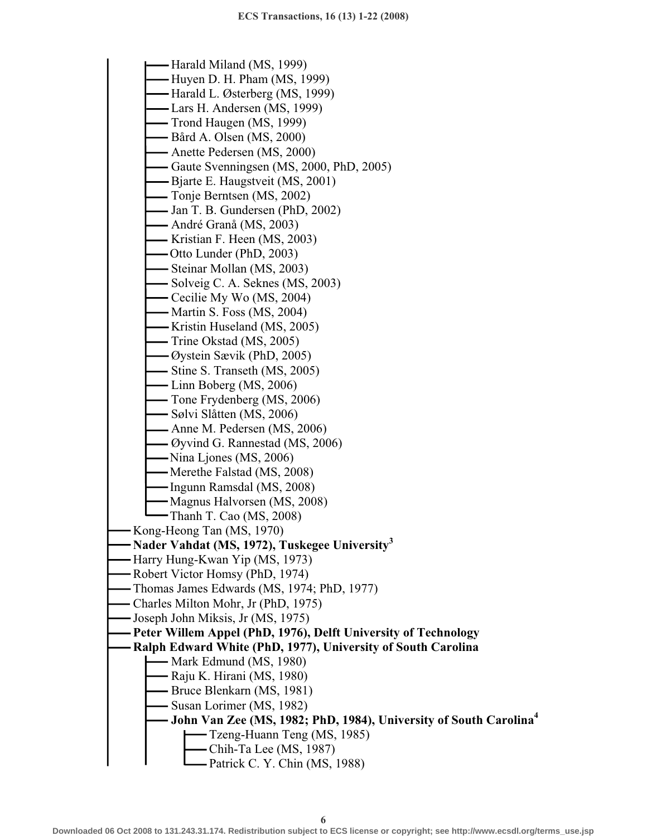Harald Miland (MS, 1999) Huyen D. H. Pham (MS, 1999) Harald L. Østerberg (MS, 1999) Lars H. Andersen (MS, 1999) Trond Haugen (MS, 1999) Bård A. Olsen (MS, 2000) Anette Pedersen (MS, 2000) Gaute Svenningsen (MS, 2000, PhD, 2005) Bjarte E. Haugstveit (MS, 2001) Tonje Berntsen (MS, 2002) Jan T. B. Gundersen (PhD, 2002) André Granå (MS, 2003) Kristian F. Heen (MS, 2003) Otto Lunder (PhD, 2003) Steinar Mollan (MS, 2003)  $-$  Solveig C. A. Seknes (MS, 2003) Cecilie My Wo (MS, 2004) Martin S. Foss (MS, 2004) Kristin Huseland (MS, 2005) Trine Okstad (MS, 2005) Øystein Sævik (PhD, 2005) - Stine S. Transeth (MS, 2005) Linn Boberg (MS, 2006) Tone Frydenberg (MS, 2006) Sølvi Slåtten (MS, 2006) Anne M. Pedersen (MS, 2006) Øyvind G. Rannestad (MS, 2006) Nina Ljones (MS, 2006) Merethe Falstad (MS, 2008) Ingunn Ramsdal (MS, 2008) Magnus Halvorsen (MS, 2008) Thanh T. Cao (MS, 2008) Kong-Heong Tan (MS, 1970) **Nader Vahdat (MS, 1972), Tuskegee University3** Harry Hung-Kwan Yip (MS, 1973) Robert Victor Homsy (PhD, 1974) Thomas James Edwards (MS, 1974; PhD, 1977) Charles Milton Mohr, Jr (PhD, 1975) Joseph John Miksis, Jr (MS, 1975) **Peter Willem Appel (PhD, 1976), Delft University of Technology Ralph Edward White (PhD, 1977), University of South Carolina**  Mark Edmund (MS, 1980) Raju K. Hirani (MS, 1980) Bruce Blenkarn (MS, 1981) Susan Lorimer (MS, 1982) **John Van Zee (MS, 1982; PhD, 1984), University of South Carolina4** Tzeng-Huann Teng (MS, 1985) Chih-Ta Lee (MS, 1987) Patrick C. Y. Chin (MS, 1988)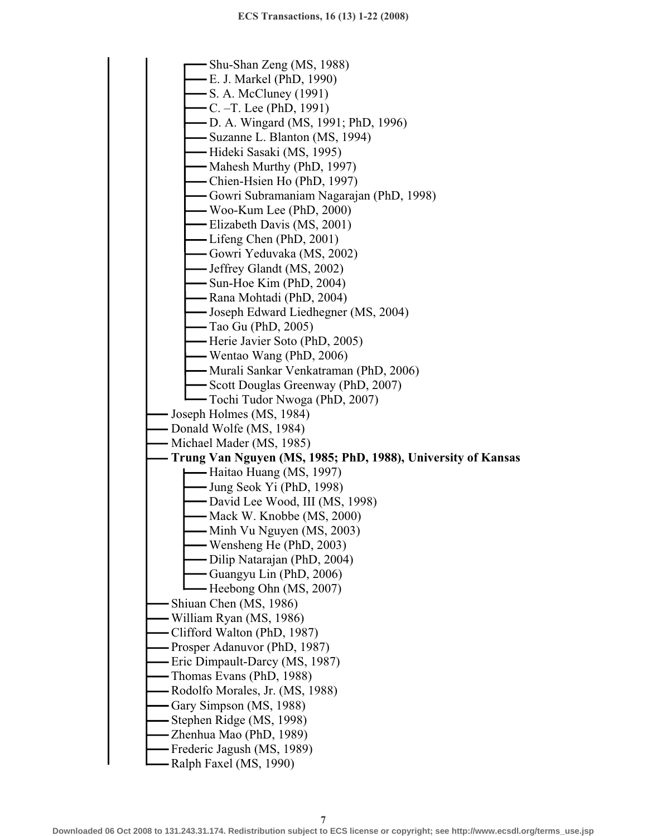Shu-Shan Zeng (MS, 1988) E. J. Markel (PhD, 1990) S. A. McCluney (1991) C. –T. Lee (PhD, 1991) D. A. Wingard (MS, 1991; PhD, 1996) Suzanne L. Blanton (MS, 1994) Hideki Sasaki (MS, 1995) Mahesh Murthy (PhD, 1997) Chien-Hsien Ho (PhD, 1997) Gowri Subramaniam Nagarajan (PhD, 1998) Woo-Kum Lee (PhD, 2000) Elizabeth Davis (MS, 2001) Lifeng Chen (PhD, 2001) Gowri Yeduvaka (MS, 2002) Jeffrey Glandt (MS, 2002) Sun-Hoe Kim (PhD, 2004) Rana Mohtadi (PhD, 2004) Joseph Edward Liedhegner (MS, 2004) Tao Gu (PhD, 2005) Herie Javier Soto (PhD, 2005) Wentao Wang (PhD, 2006) Murali Sankar Venkatraman (PhD, 2006) Scott Douglas Greenway (PhD, 2007) Tochi Tudor Nwoga (PhD, 2007) Joseph Holmes (MS, 1984) - Donald Wolfe (MS, 1984) Michael Mader (MS, 1985) **Trung Van Nguyen (MS, 1985; PhD, 1988), University of Kansas**  Haitao Huang (MS, 1997) Jung Seok Yi (PhD, 1998) David Lee Wood, III (MS, 1998) Mack W. Knobbe (MS, 2000) - Minh Vu Nguyen (MS, 2003) Wensheng He (PhD, 2003) Dilip Natarajan (PhD, 2004) Guangyu Lin (PhD, 2006) Heebong Ohn (MS, 2007) Shiuan Chen (MS, 1986) William Ryan (MS, 1986) Clifford Walton (PhD, 1987) Prosper Adanuvor (PhD, 1987) Eric Dimpault-Darcy (MS, 1987) Thomas Evans (PhD, 1988) Rodolfo Morales, Jr. (MS, 1988) Gary Simpson (MS, 1988) Stephen Ridge (MS, 1998) Zhenhua Mao (PhD, 1989) Frederic Jagush (MS, 1989)

Ralph Faxel (MS, 1990)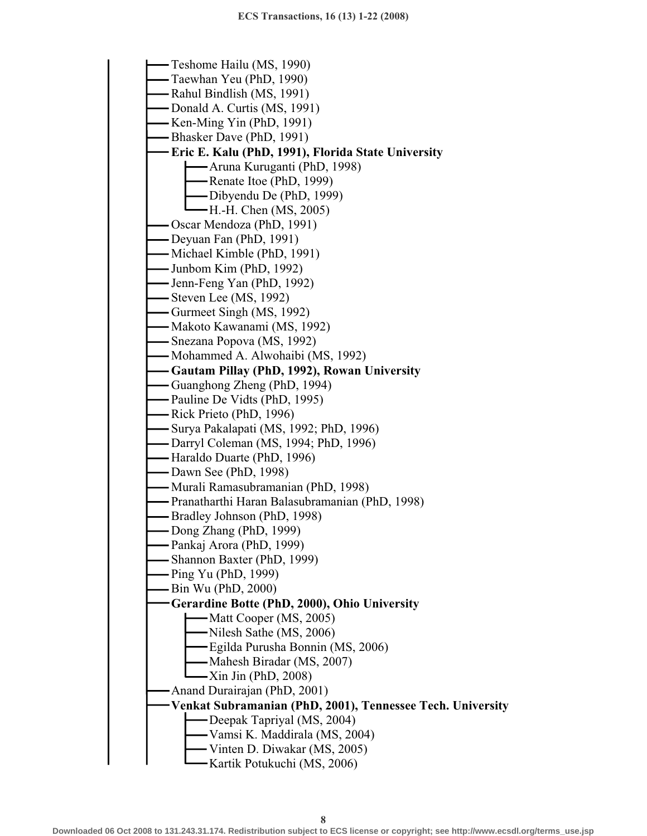Teshome Hailu (MS, 1990) Taewhan Yeu (PhD, 1990) Rahul Bindlish (MS, 1991) Donald A. Curtis (MS, 1991) - Ken-Ming Yin (PhD, 1991) Bhasker Dave (PhD, 1991) **Eric E. Kalu (PhD, 1991), Florida State University**  Aruna Kuruganti (PhD, 1998) Renate Itoe (PhD, 1999) Dibyendu De (PhD, 1999) H.-H. Chen (MS, 2005) Oscar Mendoza (PhD, 1991) Deyuan Fan (PhD, 1991) Michael Kimble (PhD, 1991) Junbom Kim (PhD, 1992) Jenn-Feng Yan (PhD, 1992) Steven Lee (MS, 1992) Gurmeet Singh (MS, 1992) Makoto Kawanami (MS, 1992) Snezana Popova (MS, 1992) Mohammed A. Alwohaibi (MS, 1992) **Gautam Pillay (PhD, 1992), Rowan University**  Guanghong Zheng (PhD, 1994) - Pauline De Vidts (PhD, 1995) Rick Prieto (PhD, 1996) Surya Pakalapati (MS, 1992; PhD, 1996) Darryl Coleman (MS, 1994; PhD, 1996) Haraldo Duarte (PhD, 1996) Dawn See (PhD, 1998) Murali Ramasubramanian (PhD, 1998) Pranatharthi Haran Balasubramanian (PhD, 1998) - Bradley Johnson (PhD, 1998) - Dong Zhang (PhD, 1999) Pankaj Arora (PhD, 1999) Shannon Baxter (PhD, 1999) Ping Yu (PhD, 1999) Bin Wu (PhD, 2000) **Gerardine Botte (PhD, 2000), Ohio University**  -Matt Cooper (MS, 2005) Nilesh Sathe (MS, 2006) Egilda Purusha Bonnin (MS, 2006) Mahesh Biradar (MS, 2007)  $-Xin$  Jin (PhD, 2008) Anand Durairajan (PhD, 2001) **Venkat Subramanian (PhD, 2001), Tennessee Tech. University**  Deepak Tapriyal (MS, 2004) Vamsi K. Maddirala (MS, 2004) Vinten D. Diwakar (MS, 2005) Kartik Potukuchi (MS, 2006)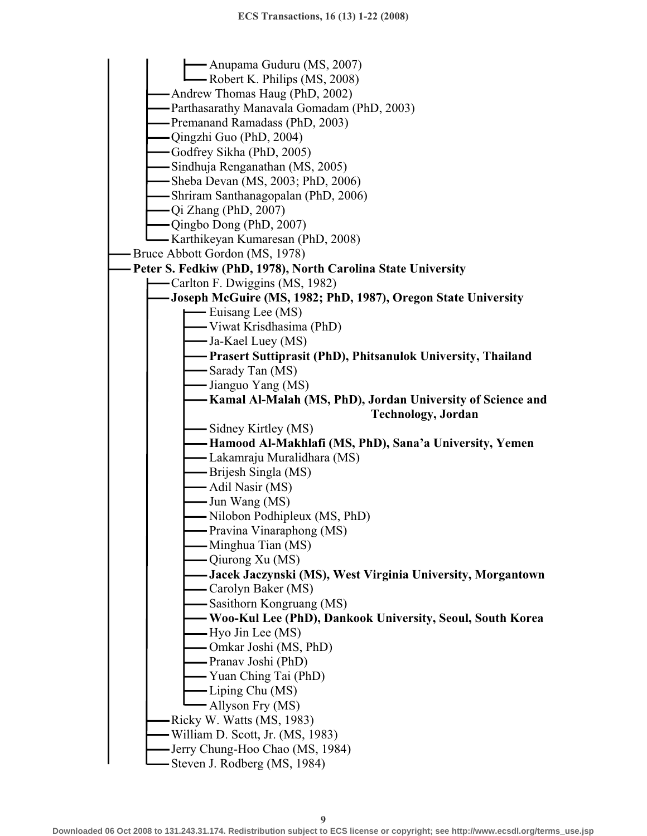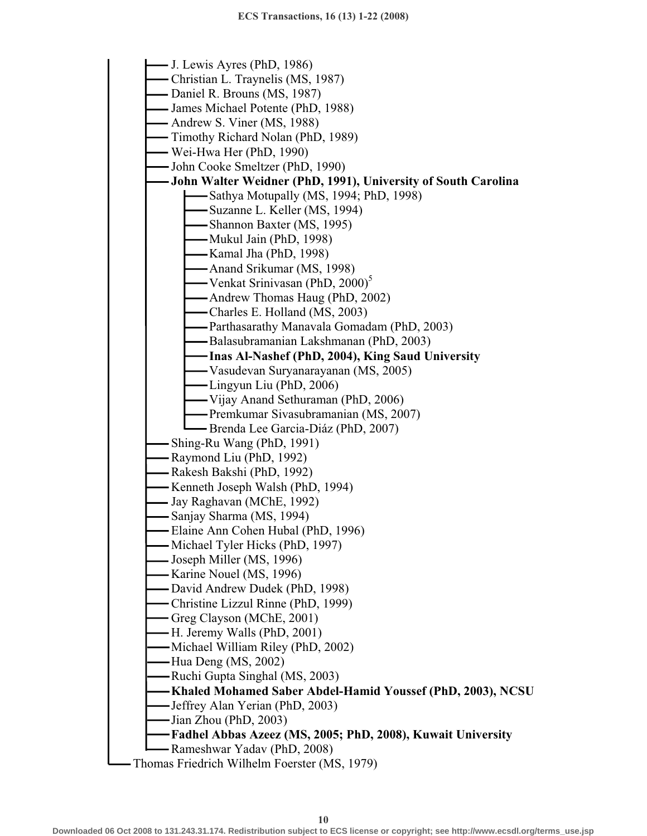J. Lewis Ayres (PhD, 1986) Christian L. Traynelis (MS, 1987) - Daniel R. Brouns (MS, 1987) James Michael Potente (PhD, 1988) Andrew S. Viner (MS, 1988) Timothy Richard Nolan (PhD, 1989) Wei-Hwa Her (PhD, 1990) John Cooke Smeltzer (PhD, 1990) **John Walter Weidner (PhD, 1991), University of South Carolina**  -Sathya Motupally (MS, 1994; PhD, 1998) Suzanne L. Keller (MS, 1994) Shannon Baxter (MS, 1995) Mukul Jain (PhD, 1998) Kamal Jha (PhD, 1998) Anand Srikumar (MS, 1998) - Venkat Srinivasan (PhD, 2000)<sup>3</sup> Andrew Thomas Haug (PhD, 2002) Charles E. Holland (MS, 2003) Parthasarathy Manavala Gomadam (PhD, 2003) Balasubramanian Lakshmanan (PhD, 2003) **Inas Al-Nashef (PhD, 2004), King Saud University**  Vasudevan Suryanarayanan (MS, 2005) Lingyun Liu (PhD, 2006) Vijay Anand Sethuraman (PhD, 2006) Premkumar Sivasubramanian (MS, 2007) Brenda Lee Garcia-Diáz (PhD, 2007) Shing-Ru Wang (PhD, 1991) Raymond Liu (PhD, 1992) Rakesh Bakshi (PhD, 1992) Kenneth Joseph Walsh (PhD, 1994) Jay Raghavan (MChE, 1992) Sanjay Sharma (MS, 1994) Elaine Ann Cohen Hubal (PhD, 1996) Michael Tyler Hicks (PhD, 1997) Joseph Miller (MS, 1996) - Karine Nouel (MS, 1996) David Andrew Dudek (PhD, 1998) Christine Lizzul Rinne (PhD, 1999) Greg Clayson (MChE, 2001) H. Jeremy Walls (PhD, 2001) Michael William Riley (PhD, 2002) Hua Deng (MS, 2002) Ruchi Gupta Singhal (MS, 2003) **Khaled Mohamed Saber Abdel-Hamid Youssef (PhD, 2003), NCSU**  Jeffrey Alan Yerian (PhD, 2003) Jian Zhou (PhD, 2003) **Fadhel Abbas Azeez (MS, 2005; PhD, 2008), Kuwait University**  Rameshwar Yadav (PhD, 2008) Thomas Friedrich Wilhelm Foerster (MS, 1979)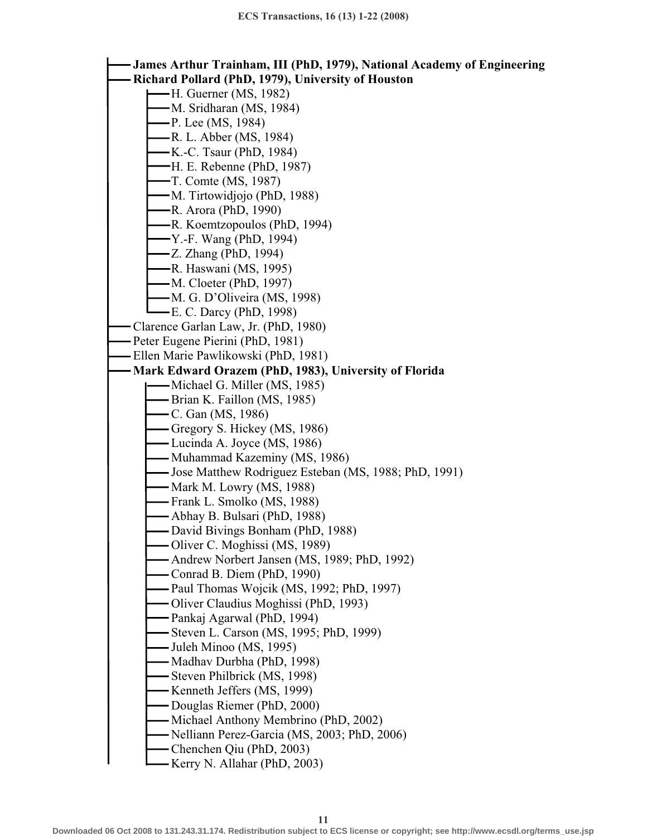**James Arthur Trainham, III (PhD, 1979), National Academy of Engineering Richard Pollard (PhD, 1979), University of Houston**  H. Guerner (MS, 1982) M. Sridharan (MS, 1984) P. Lee (MS, 1984) R. L. Abber (MS, 1984) K.-C. Tsaur (PhD, 1984) H. E. Rebenne (PhD, 1987) T. Comte (MS, 1987) M. Tirtowidjojo (PhD, 1988) R. Arora (PhD, 1990) R. Koemtzopoulos (PhD, 1994) Y.-F. Wang (PhD, 1994) Z. Zhang (PhD, 1994) R. Haswani (MS, 1995) M. Cloeter (PhD, 1997) M. G. D'Oliveira (MS, 1998) E. C. Darcy (PhD, 1998) Clarence Garlan Law, Jr. (PhD, 1980) Peter Eugene Pierini (PhD, 1981) Ellen Marie Pawlikowski (PhD, 1981) **Mark Edward Orazem (PhD, 1983), University of Florida**  Michael G. Miller (MS, 1985) Brian K. Faillon (MS, 1985) C. Gan (MS, 1986) Gregory S. Hickey (MS, 1986) Lucinda A. Joyce (MS, 1986) - Muhammad Kazeminy (MS, 1986) Jose Matthew Rodriguez Esteban (MS, 1988; PhD, 1991) - Mark M. Lowry (MS, 1988) Frank L. Smolko (MS, 1988) Abhay B. Bulsari (PhD, 1988) David Bivings Bonham (PhD, 1988) Oliver C. Moghissi (MS, 1989) Andrew Norbert Jansen (MS, 1989; PhD, 1992) Conrad B. Diem (PhD, 1990) Paul Thomas Wojcik (MS, 1992; PhD, 1997) Oliver Claudius Moghissi (PhD, 1993) Pankaj Agarwal (PhD, 1994) - Steven L. Carson (MS, 1995; PhD, 1999) Juleh Minoo (MS, 1995) Madhav Durbha (PhD, 1998) Steven Philbrick (MS, 1998) Kenneth Jeffers (MS, 1999) Douglas Riemer (PhD, 2000) - Michael Anthony Membrino (PhD, 2002) Nelliann Perez-Garcia (MS, 2003; PhD, 2006) Chenchen Qiu (PhD, 2003) Kerry N. Allahar (PhD, 2003)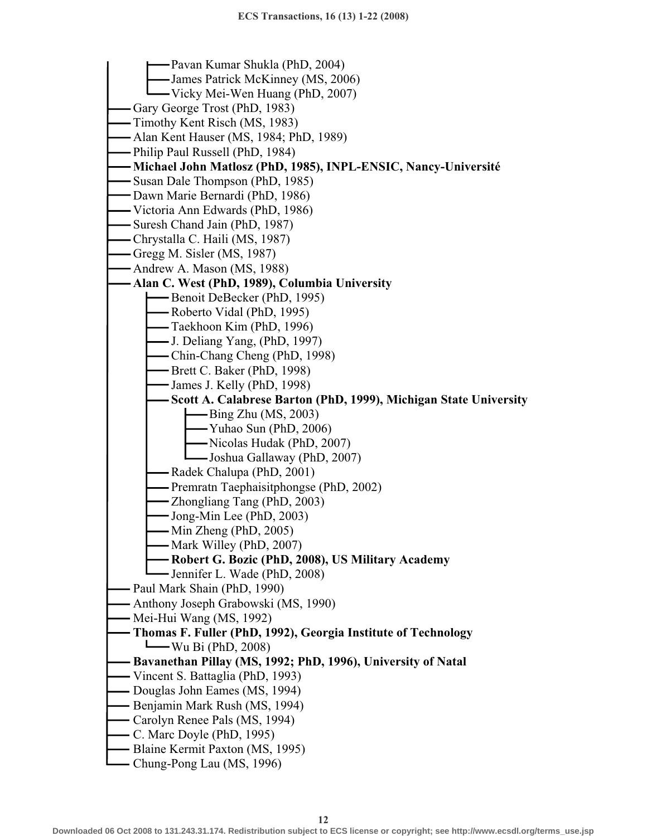Pavan Kumar Shukla (PhD, 2004) James Patrick McKinney (MS, 2006) Vicky Mei-Wen Huang (PhD, 2007) Gary George Trost (PhD, 1983) Timothy Kent Risch (MS, 1983) Alan Kent Hauser (MS, 1984; PhD, 1989) Philip Paul Russell (PhD, 1984) **Michael John Matlosz (PhD, 1985), INPL-ENSIC, Nancy-Université**  - Susan Dale Thompson (PhD, 1985) Dawn Marie Bernardi (PhD, 1986) Victoria Ann Edwards (PhD, 1986) Suresh Chand Jain (PhD, 1987) Chrystalla C. Haili (MS, 1987) Gregg M. Sisler (MS, 1987) Andrew A. Mason (MS, 1988) **Alan C. West (PhD, 1989), Columbia University**  Benoit DeBecker (PhD, 1995) Roberto Vidal (PhD, 1995) Taekhoon Kim (PhD, 1996) J. Deliang Yang, (PhD, 1997) Chin-Chang Cheng (PhD, 1998) Brett C. Baker (PhD, 1998) James J. Kelly (PhD, 1998) **Scott A. Calabrese Barton (PhD, 1999), Michigan State University**  Bing Zhu (MS, 2003) Yuhao Sun (PhD, 2006) Nicolas Hudak (PhD, 2007) Joshua Gallaway (PhD, 2007) Radek Chalupa (PhD, 2001) Premratn Taephaisitphongse (PhD, 2002) Zhongliang Tang (PhD, 2003) Jong-Min Lee (PhD, 2003)  $-Min$  Zheng (PhD, 2005) - Mark Willey (PhD, 2007) **Robert G. Bozic (PhD, 2008), US Military Academy**  Jennifer L. Wade (PhD, 2008) Paul Mark Shain (PhD, 1990) Anthony Joseph Grabowski (MS, 1990) Mei-Hui Wang (MS, 1992) **Thomas F. Fuller (PhD, 1992), Georgia Institute of Technology**  Wu Bi (PhD, 2008)  **Bavanethan Pillay (MS, 1992; PhD, 1996), University of Natal**  Vincent S. Battaglia (PhD, 1993) - Douglas John Eames (MS, 1994) Benjamin Mark Rush (MS, 1994) Carolyn Renee Pals (MS, 1994) C. Marc Doyle (PhD, 1995) Blaine Kermit Paxton (MS, 1995) Chung-Pong Lau (MS, 1996)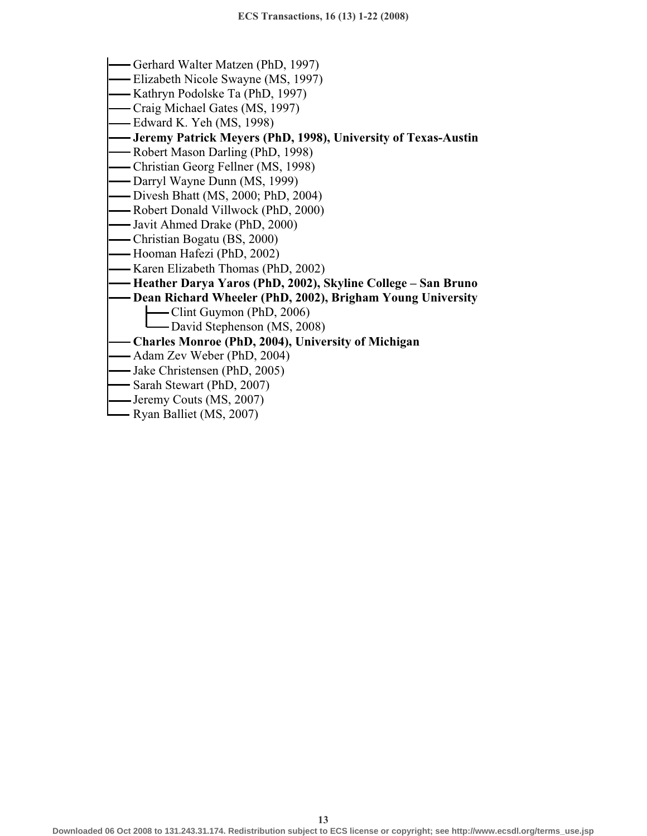- Gerhard Walter Matzen (PhD, 1997)
- Elizabeth Nicole Swayne (MS, 1997)
- Kathryn Podolske Ta (PhD, 1997)
- Craig Michael Gates (MS, 1997)
- Edward K. Yeh (MS, 1998)
- **Jeremy Patrick Meyers (PhD, 1998), University of Texas-Austin**
- Robert Mason Darling (PhD, 1998)
- Christian Georg Fellner (MS, 1998)
- Darryl Wayne Dunn (MS, 1999)
- Divesh Bhatt (MS, 2000; PhD, 2004)
- Robert Donald Villwock (PhD, 2000)
- Javit Ahmed Drake (PhD, 2000)
- Christian Bogatu (BS, 2000)
- Hooman Hafezi (PhD, 2002)
- Karen Elizabeth Thomas (PhD, 2002)
- **Heather Darya Yaros (PhD, 2002), Skyline College San Bruno**
- **Dean Richard Wheeler (PhD, 2002), Brigham Young University** 
	- Clint Guymon (PhD, 2006)
	- David Stephenson (MS, 2008)
- **Charles Monroe (PhD, 2004), University of Michigan**
- Adam Zev Weber (PhD, 2004)
- Jake Christensen (PhD, 2005)
- Sarah Stewart (PhD, 2007)
- Jeremy Couts (MS, 2007)
- Ryan Balliet (MS, 2007)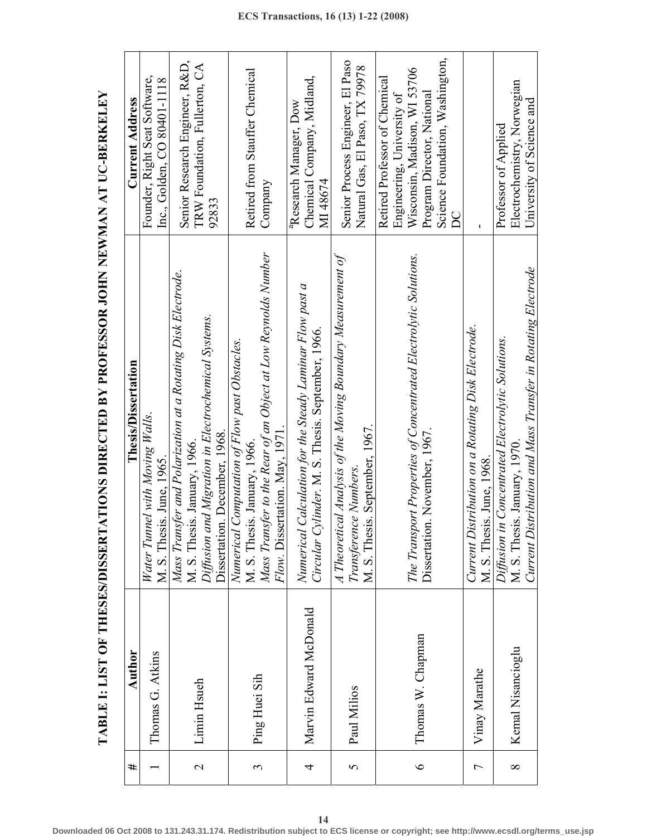| #              | Author                 | Thesis/Dissertation                                                                 | <b>Current Address</b>                 |
|----------------|------------------------|-------------------------------------------------------------------------------------|----------------------------------------|
|                | Thomas G. Atkins       | Water Tunnel with Moving Walls.                                                     | Founder, Right Seat Software,          |
|                |                        | M. S. Thesis. June, 1965.                                                           | lnc., Golden, CO 80401-1118            |
|                |                        | Mass Transfer and Polarization at a Rotating Disk Electrode.                        | Senior Research Engineer, R&D,         |
| $\mathbf{C}$   | Limin Hsueh            | M. S. Thesis. January, 1966.<br>Diffusion and Migration in Electrochemical Systems. | TRW Foundation, Fullerton, CA          |
|                |                        |                                                                                     | 92833                                  |
|                |                        | Dissertation. December, 1968.                                                       |                                        |
|                |                        | Numerical Computation of Flow past Obstacles.                                       |                                        |
| 3              |                        | M. S. Thesis. January, 1966.                                                        | Retired from Stauffer Chemical         |
|                | Ping Huei Sih          | Mass Transfer to the Rear of an Object at Low Reynolds Number                       | Company                                |
|                |                        | Flow. Dissertation. May, 1971.                                                      |                                        |
|                |                        | Numerical Calculation for the Steady Laminar Flow past a                            | <sup>a</sup> Research Manager, Dow     |
| 4              | Marvin Edward McDonald | Circular Cylinder. M. S. Thesis. September, 1966.                                   | Chemical Company, Midland,<br>MI 48674 |
|                |                        | A Theoretical Analysis of the Moving Boundary Measurement of                        | Senior Process Engineer, El Paso       |
| 5              | Paul Milios            | Transference Numbers.                                                               |                                        |
|                |                        | M. S. Thesis. September, 1967.                                                      | Natural Gas, El Paso, TX 79978         |
|                |                        |                                                                                     | Retired Professor of Chemical          |
|                |                        |                                                                                     | Engineering, University of             |
| $\circ$        | Thomas W. Chapman      | The Transport Properties of Concentrated Electrolytic Solutions.                    | Wisconsin, Madison, WI 53706           |
|                |                        | Dissertation. November, 1967.                                                       | Program Director, National             |
|                |                        |                                                                                     | Science Foundation, Washington,        |
|                |                        |                                                                                     | $\Xi$                                  |
| $\overline{ }$ |                        | Current Distribution on a Rotating Disk Electrode.                                  |                                        |
|                | Vinay Marathe          | M. S. Thesis. June, 1968                                                            |                                        |
|                |                        |                                                                                     | Professor of Applied                   |
| ∞              | Kemal Nisancioglu      | Diffusion in Concentrated Electrolytic Solutions.<br>M. S. Thesis. January, 1970.   | Electrochemistry, Norwegian            |
|                |                        | Current Distribution and Mass Transfer in Rotating Electrode                        | University of Science and              |

**TABLE I: LIST OF THESES/DISSERTATIONS DIRECTED BY PROFESSOR JOHN NEWMAN AT UC-BERKELEY**  TABLE I: LIST OF THESES/DISSERTATIONS DIRECTED BY PROFESSOR JOHN NEWMAN AT UC-BERKELEY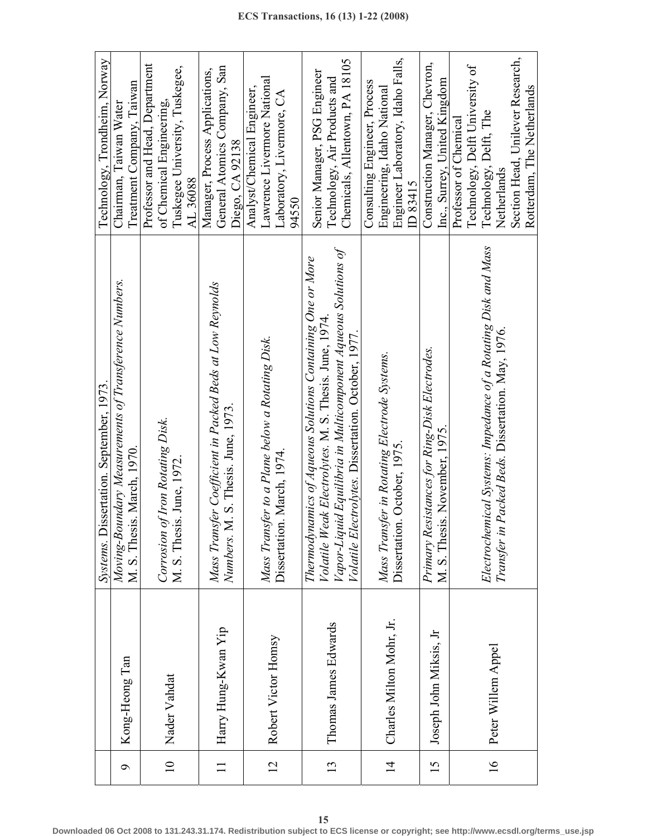|                 |                          | Systems. Dissertation. September, 1973.                        | Technology, Trondheim, Norway     |
|-----------------|--------------------------|----------------------------------------------------------------|-----------------------------------|
| Q               | Kong-Heong Tan           | Moving-Boundary Measurements of Transference Numbers.          | Chairman, Taiwan Water            |
|                 |                          | M. S. Thesis. March, 1970.                                     | Treatment Company, Taiwan         |
|                 |                          |                                                                | Professor and Head, Department    |
| $\overline{10}$ |                          | Corrosion of Iron Rotating Disk.                               | of Chemical Engineering,          |
|                 | Nader Vahdat             | M. S. Thesis. June, 1972.                                      | Tuskegee University, Tuskegee,    |
|                 |                          |                                                                | AL 36088                          |
|                 |                          | Mass Transfer Coefficient in Packed Beds at Low Reynolds       | Manager, Process Applications,    |
|                 | Harry Hung-Kwan Yip      | Numbers. M. S. Thesis. June, 1973.                             | General Atomics Company, San      |
|                 |                          |                                                                | Diego, CA 92138                   |
|                 |                          |                                                                | Analyst/Chemical Engineer,        |
| $\overline{c}$  | Robert Victor Homsy      | Mass Transfer to a Plane below a Rotating Disk.                | Lawrence Livermore National       |
|                 |                          | Dissertation. March, 1974.                                     | Laboratory, Livermore, CA         |
|                 |                          |                                                                | 94550                             |
|                 |                          | Thermodynamics of Aqueous Solutions Containing One or More     | Senior Manager, PSG Engineer      |
|                 |                          | Volatile Weak Electrolytes. M. S. Thesis. June, 1974           |                                   |
| 13              | Thomas James Edwards     | Vapor-Liquid Equilibria in Multicomponent Aqueous Solutions of | Technology, Air Products and      |
|                 |                          | Volatile Electrolytes. Dissertation. October, 1977.            | Chemicals, Allentown, PA 18105    |
|                 |                          |                                                                | Consulting Engineer, Process      |
|                 |                          | Mass Transfer in Rotating Electrode Systems.                   | Engineering, Idaho National       |
| $\overline{4}$  | Charles Milton Mohr, Jr. | Dissertation. October, 1975.                                   | Engineer Laboratory, Idaho Falls, |
|                 |                          |                                                                | ID 83415                          |
| 15              |                          | Primary Resistances for Ring-Disk Electrodes.                  | Construction Manager, Chevron,    |
|                 | Joseph John Miksis, Jr   | M. S. Thesis. November, 1975.                                  | Inc., Surrey, United Kingdom      |
|                 |                          |                                                                | Professor of Chemical             |
|                 |                          |                                                                | Technology, Delft University of   |
| $\overline{16}$ | Peter Willem Appel       | Electrochemical Systems: Impedance of a Rotating Disk and Mass | Technology, Delft, The            |
|                 |                          | Packed Beds. Dissertation. May, 1976.<br>Transfer in           | Netherlands                       |
|                 |                          |                                                                | Section Head, Unilever Research,  |
|                 |                          |                                                                | Rotterdam, The Netherlands        |

**15**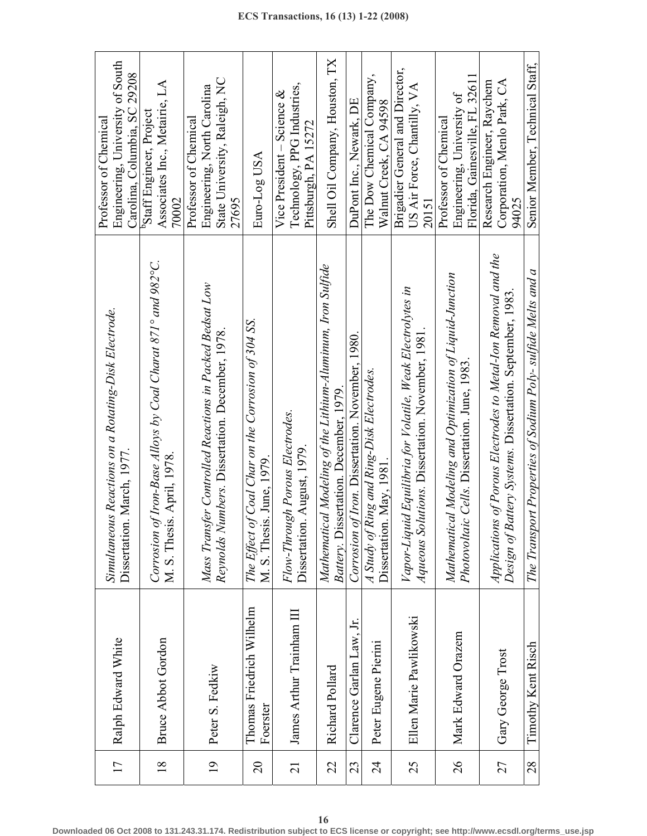| 17              | Ralph Edward White                   | Simultaneous Reactions on a Rotating-Disk Electrode.<br>Dissertation. March, 1977.                                         | Engineering, University of South<br>Carolina, Columbia, SC 29208<br>Professor of Chemical      |
|-----------------|--------------------------------------|----------------------------------------------------------------------------------------------------------------------------|------------------------------------------------------------------------------------------------|
| $\overline{18}$ | <b>Bruce Abbot Gordon</b>            | Corrosion of Iron-Base Alloys by Coal Charat 871° and 982°C.<br>M. S. Thesis. April, 1978.                                 | Associates Inc., Metairie, LA<br><sup>b</sup> Staff Engineer, Project<br>70002                 |
| $\overline{19}$ | Peter S. Fedkiw                      | Mass Transfer Controlled Reactions in Packed Bedsat Low<br>Reynolds Numbers. Dissertation. December, 1978.                 | State University, Raleigh, NC<br>Engineering, North Carolina<br>Professor of Chemical<br>27695 |
| $\overline{c}$  | Thomas Friedrich Wilhelm<br>Foerster | The Effect of Coal Char on the Corrosion of 304 SS.<br>M. S. Thesis. June, 1979.                                           | Euro-Log USA                                                                                   |
| $\overline{21}$ | James Arthur Trainham III            | Flow-Through Porous Electrodes.<br>Dissertation. August, 1979.                                                             | Technology, PPG Industries,<br>Vice President – Science $\&$<br>Pittsburgh, PA 15272           |
| 22              | Richard Pollard                      | Mathematical Modeling of the Lithium-Aluminum, Iron Sulfide<br>Battery. Dissertation. December, 1979                       | Shell Oil Company, Houston, TX                                                                 |
| 23              | Clarence Garlan Law, Jr.             | Corrosion of Iron. Dissertation. November, 1980.                                                                           | DuPont Inc., Newark, DE                                                                        |
| $\overline{24}$ | Peter Eugene Pierini                 | A Study of Ring and Ring-Disk Electrodes.<br>Dissertation. May, 1981.                                                      | The Dow Chemical Company,<br>Walnut Creek, CA 94598                                            |
| 25              | Ellen Marie Pawlikowski              | Vapor-Liquid Equilibria for Volatile, Weak Electrolytes in<br>Aqueous Solutions. Dissertation. November, 1981              | Brigadier General and Director,<br>US Air Force, Chantilly, $VA$<br>20151                      |
| $\delta$        | Mark Edward Orazem                   | Mathematical Modeling and Optimization of Liquid-Junction<br>Photovoltaic Cells. Dissertation. June, 1983                  | Florida, Gainesville, FL 32611<br>Engineering, University of<br>Professor of Chemical          |
| 27              | Gary George Trost                    | Applications of Porous Electrodes to Metal-Ion Removal and the<br>Design of Battery Systems. Dissertation. September, 1983 | Corporation, Menlo Park, CA<br>Research Engineer, Raychem<br>94025                             |
| 28              | Timothy Kent Risch                   | The Transport Properties of Sodium Poly- sulfide Melts and a                                                               | Senior Member, Technical Staff,                                                                |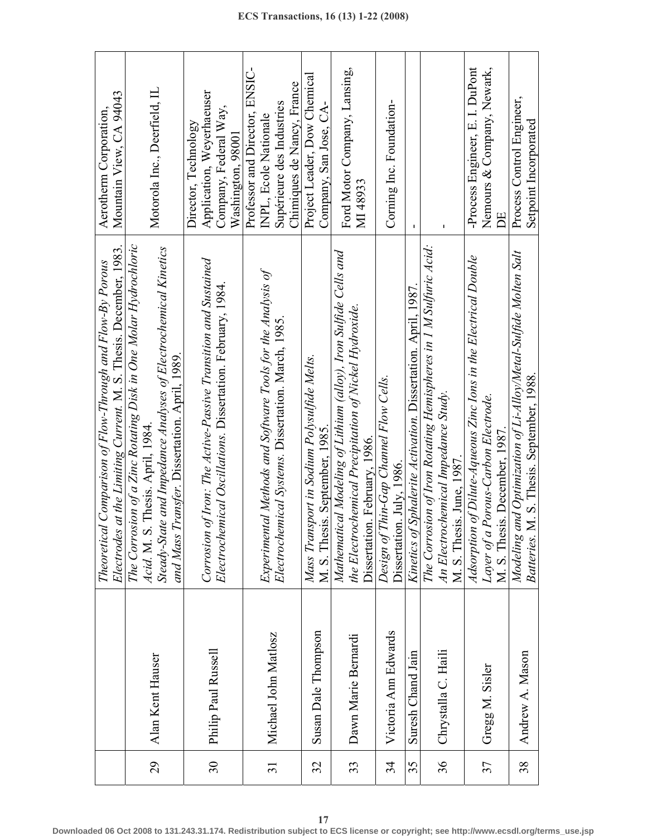|                 |                      | Electrodes at the Limiting Current. M. S. Thesis. December, 1983<br>Theoretical Comparison of Flow-Through and Flow-By Porous                                                                                              | Mountain View, CA 94043<br>Aerotherm Corporation,                                                                  |
|-----------------|----------------------|----------------------------------------------------------------------------------------------------------------------------------------------------------------------------------------------------------------------------|--------------------------------------------------------------------------------------------------------------------|
| 29              | Alan Kent Hauser     | The Corrosion of a Zinc Rotating Disk in One Molar Hydrochloric<br>Steady-State and Impedance Analyses of Electrochemical Kinetics<br>Transfer. Dissertation. April, 1989.<br>Acid. M. S. Thesis. April, 1984.<br>and Mass | Motorola Inc., Deerfield, IL                                                                                       |
| 30              | Philip Paul Russell  | of Iron: The Active-Passive Transition and Sustained<br>Electrochemical Oscillations. Dissertation. February, 1984.<br>Corrosion                                                                                           | Application, Weyerhaeuser<br>Company, Federal Way,<br>Director, Technology<br>Washington, 98001                    |
| $\overline{31}$ | Michael John Matlosz | Experimental Methods and Software Tools for the Analysis of<br>Electrochemical Systems. Dissertation. March, 1985.                                                                                                         | Professor and Director, ENSIC-<br>Chimiques de Nancy, France<br>Supérieure des Industries<br>INPL, Ecole Nationale |
| 32              | Susan Dale Thompson  | Mass Transport in Sodium Polysulfide Melts.<br>M. S. Thesis. September, 1985.                                                                                                                                              | Project Leader, Dow Chemical<br>Company, San Jose, CA-                                                             |
| 33              | Dawn Marie Bernardi  | Mathematical Modeling of Lithium (alloy), Iron Sulfide Cells and<br>the Electrochemical Precipitation of Nickel Hydroxide.<br>Dissertation. February, 1986.                                                                | Ford Motor Company, Lansing,<br>MI 48933                                                                           |
| 34              | Victoria Ann Edwards | Thin-Gap Channel Flow Cells.<br>Dissertation. July, 1986.<br>Design of                                                                                                                                                     | Corning Inc. Foundation-                                                                                           |
| 35              | Suresh Chand Jain    | Kinetics of Sphalerite Activation. Dissertation. April, 1987.                                                                                                                                                              | $\blacksquare$                                                                                                     |
| 36              | Chrystalla C. Haili  | The Corrosion of Iron Rotating Hemispheres in 1 M Sulfuric Acid:<br>An Electrochemical Impedance Study.<br>M. S. Thesis. June, 1987.                                                                                       | J.                                                                                                                 |
| 37              | Gregg M. Sisler      | Adsorption of Dilute-Aqueous Zinc Ions in the Electrical Double<br>Layer of a Porous-Carbon Electrode.<br>M. S. Thesis. December, 1987.                                                                                    | -Process Engineer, E. I. DuPont<br>Nemours & Company, Newark,<br>Ë                                                 |
| 38              | Andrew A. Mason      | and Optimization of Li-Alloy/Metal-Sulfide Molten Salt<br>M. S. Thesis. September, 1988.<br>Modeling<br><b>Batteries.</b>                                                                                                  | Process Control Engineer,<br>Setpoint Incorporated                                                                 |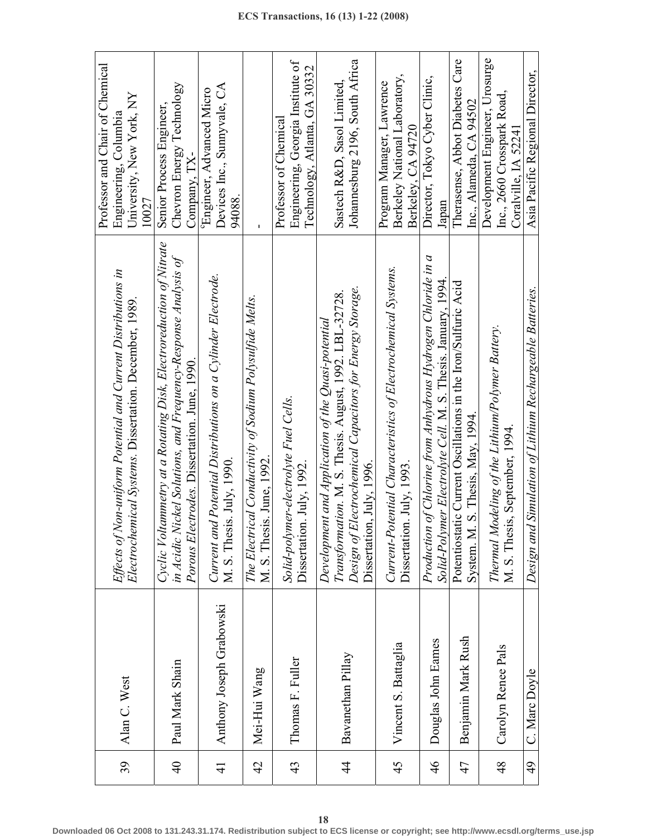| 39              | Alan C. West             | Effects of Non-uniform Potential and Current Distributions in<br>Electrochemical Systems. Dissertation. December, 1989.                                                                               | Professor and Chair of Chemical<br>University, New York, NY<br>Engineering, Columbia<br>10027 |
|-----------------|--------------------------|-------------------------------------------------------------------------------------------------------------------------------------------------------------------------------------------------------|-----------------------------------------------------------------------------------------------|
| $\overline{40}$ | Paul Mark Shain          | Cyclic Voltammetry at a Rotating Disk, Electroreduction of Nitrate<br>in Acidic Nickel Solutions, and Frequency-Response Analysis of<br>Porous Electrodes. Dissertation. June, 1990.                  | Chevron Energy Technology<br>Senior Process Engineer,<br>Company, TX-                         |
| $\frac{1}{4}$   | Anthony Joseph Grabowski | Current and Potential Distributions on a Cylinder Electrode.<br>M. S. Thesis. July, 1990.                                                                                                             | Devices Inc., Sunnyvale, CA<br>Engineer, Advanced Micro<br>94088                              |
| 42              | Mei-Hui Wang             | The Electrical Conductivity of Sodium Polysulfide Melts.<br>M. S. Thesis. June, 1992.                                                                                                                 |                                                                                               |
| 43              | Thomas F. Fuller         | Solid-polymer-electrolyte Fuel Cells.<br>Dissertation. July, 1992                                                                                                                                     | Engineering, Georgia Institute of<br>Technology, Atlanta, GA 30332<br>Professor of Chemical   |
| $\frac{4}{3}$   | Bavanethan Pillay        | Design of Electrochemical Capacitors for Energy Storage.<br>Transformation. M. S. Thesis. August, 1992. LBL-32728.<br>Development and Application of the Quasi-potential<br>Dissertation, July, 1996. | Johannesburg 2196, South Africa<br>Sastech R&D, Sasol Limited,                                |
| 45              | Vincent S. Battaglia     | Current-Potential Characteristics of Electrochemical Systems.<br>Dissertation. July, 1993                                                                                                             | Berkeley National Laboratory,<br>Program Manager, Lawrence<br>Berkeley, CA 94720              |
| 46              | Douglas John Eames       | Production of Chlorine from Anhydrous Hydrogen Chloride in a<br>Solid-Polymer Electrolyte Cell. M. S. Thesis. January, 1994                                                                           | Director, Tokyo Cyber Clinic,<br>Japan                                                        |
| 47              | Benjamin Mark Rush       | Potentiostatic Current Oscillations in the Iron/Sulfuric Acid<br>System. M. S. Thesis, May, 1994.                                                                                                     | Therasense, Abbot Diabetes Care<br>Inc., Alameda, CA 94502                                    |
| 48              | Carolyn Renee Pals       | Thermal Modeling of the Lithium/Polymer Battery.<br>M. S. Thesis, September, 1994                                                                                                                     | Development Engineer, Urosurge<br>Inc., 2660 Crosspark Road,<br>Coralville, IA 52241          |
| $\frac{49}{5}$  | C. Marc Doyle            | Design and Simulation of Lithium Rechargeable Batteries.                                                                                                                                              | Asia Pacific Regional Director,                                                               |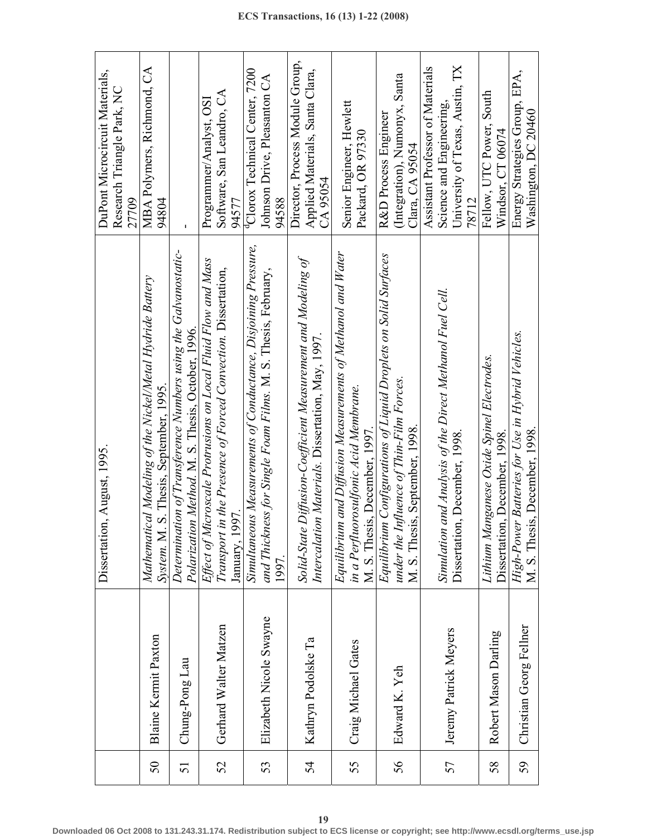|    |                         | Dissertation, August, 1995.                                                                                                                        | DuPont Microcircuit Materials,                                                                           |
|----|-------------------------|----------------------------------------------------------------------------------------------------------------------------------------------------|----------------------------------------------------------------------------------------------------------|
|    |                         |                                                                                                                                                    | Research Triangle Park, NC                                                                               |
|    |                         |                                                                                                                                                    | 27709                                                                                                    |
| 50 | Blaine Kermit Paxton    | Mathematical Modeling of the Nickel/Metal Hydride Battery<br>System. M. S. Thesis, September, 1995.                                                | MBA Polymers, Richmond, CA<br>94804                                                                      |
| 51 | Chung-Pong Lau          | Determination of Transference Numbers using the Galvanostatic-<br>Polarization Method. M. S. Thesis, October, 1996.                                | J.                                                                                                       |
| 52 | Gerhard Walter Matzen   | Effect of Microscale Protrusions on Local Fluid Flow and Mass<br>in the Presence of Forced Convection. Dissertation,<br>January, 1997<br>Transport | Software, San Leandro, CA<br>Programmer/Analyst, OSI<br>94577                                            |
| 53 | Elizabeth Nicole Swayne | Simultaneous Measurements of Conductance, Disjoining Pressure,<br>and Thickness for Single Foam Films. M. S. Thesis, February,<br>1997.            | <sup>q</sup> Clorox Technical Center, 7200<br>Johnson Drive, Pleasanton CA<br>94588                      |
| 54 | Kathryn Podolske Ta     | Solid-State Diffusion-Coefficient Measurement and Modeling of<br>Intercalation Materials. Dissertation, May, 1997.                                 | Director, Process Module Group,<br>Applied Materials, Santa Clara,<br>CA 95054                           |
| 55 | Craig Michael Gates     | Equilibrium and Diffusion Measurements of Methanol and Water<br>in a Perfluorosulfonic Acid Membrane.<br>M. S. Thesis, December, 1997.             | Senior Engineer, Hewlett<br>Packard, OR 97330                                                            |
| 56 | Edward K. Yeh           | Equilibrium Configurations of Liquid Droplets on Solid Surfaces<br>under the Influence of Thin-Film Forces.<br>M. S. Thesis, September, 1998.      | (Integration), Numonyx, Santa<br>R&D Process Engineer<br>Clara, CA 95054                                 |
| 57 | Jeremy Patrick Meyers   | and Analysis of the Direct Methanol Fuel Cell.<br>Dissertation, December, 1998.<br>Simulation                                                      | University of Texas, Austin, TX<br>Assistant Professor of Materials<br>Science and Engineering.<br>78712 |
| 58 | Robert Mason Darling    | Lithium Manganese Oxide Spinel Electrodes.<br>Dissertation, December, 1998.                                                                        | Fellow, UTC Power, South<br>Windsor, CT 06074                                                            |
| 59 | Christian Georg Fellner | High-Power Batteries for Use in Hybrid Vehicles.<br>M. S. Thesis, December, 1998                                                                   | Energy Strategies Group, EPA,<br>Washington, DC 20460                                                    |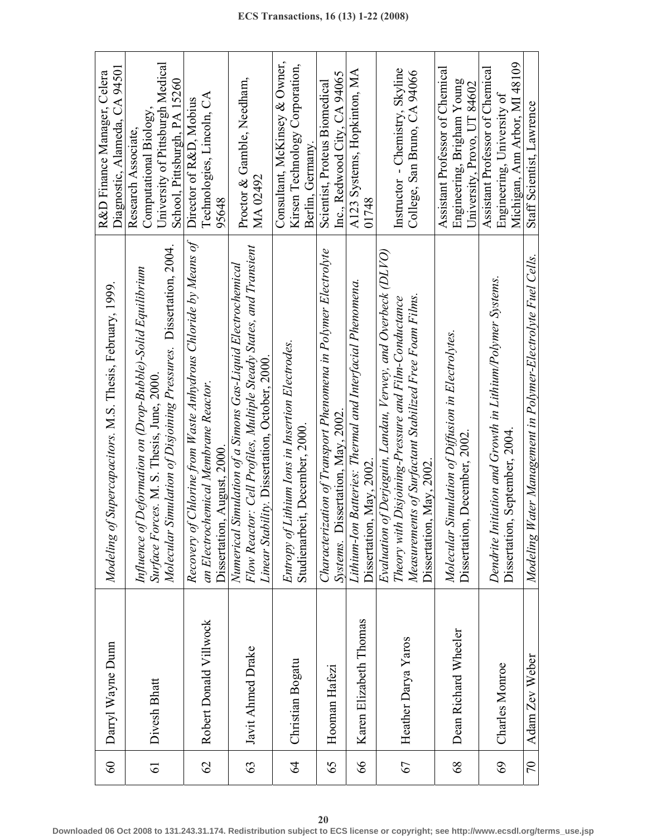| 60              | Darryl Wayne Dunn      | of Supercapacitors. M.S. Thesis, February, 1999.<br>Modeling                                                                                                                                              | Diagnostic, Alameda, CA 94501<br>R&D Finance Manager, Celera                                                      |
|-----------------|------------------------|-----------------------------------------------------------------------------------------------------------------------------------------------------------------------------------------------------------|-------------------------------------------------------------------------------------------------------------------|
| $\overline{61}$ | Divesh Bhatt           | Simulation of Disjoining Pressures. Dissertation, 2004.<br>Influence of Deformation on (Drop-Bubble)-Solid Equilibrium<br>Surface Forces. M. S. Thesis, June, 2000.<br>Molecular                          | University of Pittsburgh Medical<br>School, Pittsburgh, PA 15260<br>Computational Biology,<br>Research Associate, |
| 62              | Robert Donald Villwock | Recovery of Chlorine from Waste Anhydrous Chloride by Means of<br>an Electrochemical Membrane Reactor.<br>Dissertation, August, 2000.                                                                     | Technologies, Lincoln, CA<br>Director of R&D, Mobius<br>95648                                                     |
| 63              | Javit Ahmed Drake      | Flow Reactor: Cell Profiles, Multiple Steady States, and Transient<br>Numerical Simulation of a Simons Gas-Liquid Electrochemical<br>Linear Stability. Dissertation, October, 2000                        | Proctor & Gamble, Needham,<br>MA 02492                                                                            |
| $\mathcal{Z}$   | Christian Bogatu       | Entropy of Lithium Ions in Insertion Electrodes.<br>Studienarbeit, December, 2000.                                                                                                                        | Consultant, McKinsey & Owner,<br>Kirsen Technology Corporation,<br>Berlin, Germany.                               |
| 65              | Hooman Hafezi          | Characterization of Transport Phenomena in Polymer Electrolyte<br>Systems. Dissertation, May, 2002                                                                                                        | Inc., Redwood City, CA 94065<br>Scientist, Proteus Biomedical                                                     |
| 66              | Karen Elizabeth Thomas | Lithium-Ion Batteries: Thermal and Interfacial Phenomena.<br>Dissertation, May, 2002.                                                                                                                     | A123 Systems, Hopkinton, MA<br>01748                                                                              |
| 67              | Heather Darya Yaros    | Evaluation of Derjaguin, Landau, Verwey, and Overbeck (DLVO)<br>Measurements of Surfactant Stabilized Free Foam Films.<br>Theory with Disjoining-Pressure and Film-Conductance<br>Dissertation, May, 2002 | Instructor - Chemistry, Skyline<br>College, San Bruno, CA 94066                                                   |
| 68              | Dean Richard Wheeler   | Molecular Simulation of Diffusion in Electrolytes.<br>Dissertation, December, 2002.                                                                                                                       | Assistant Professor of Chemical<br>Engineering, Brigham Young<br>University, Provo, UT 84602                      |
| 69              | Charles Monroe         | Dendrite Initiation and Growth in Lithium/Polymer Systems.<br>Dissertation, September, 2004                                                                                                               | Michigan, Ann Arbor, MI 48109<br>Assistant Professor of Chemical<br>Engineering, University of                    |
| 70              | Adam Zev Weber         | Water Management in Polymer-Electrolyte Fuel Cells.<br>Modeling                                                                                                                                           | Staff Scientist, Lawrence                                                                                         |

⊤ ٦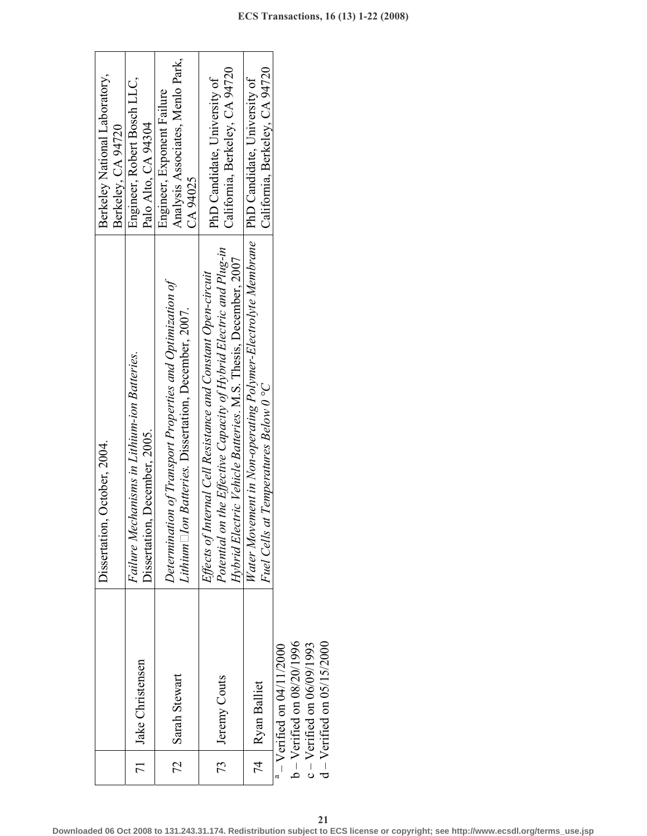|                 |                                 | Dissertation, October, 2004.                                                                                                                                                                          | Berkeley National Laboratory,                                              |
|-----------------|---------------------------------|-------------------------------------------------------------------------------------------------------------------------------------------------------------------------------------------------------|----------------------------------------------------------------------------|
|                 |                                 |                                                                                                                                                                                                       | Berkeley, CA 94720                                                         |
| $\overline{71}$ |                                 | Failure Mechanisms in Lithium-ion Batteries.                                                                                                                                                          | Engineer, Robert Bosch LLC,                                                |
|                 | Jake Christensen                | Dissertation, December, 2005.                                                                                                                                                                         | Palo Alto, CA 94304                                                        |
| 72              | Sarah Stewart                   | Determination of Transport Properties and Optimization of<br>Lithium $\Box$ lon Batteries. Dissertation, December, 2007.                                                                              | Analysis Associates, Menlo Park,<br>Engineer, Exponent Failure<br>CA 94025 |
|                 | 73   Jeremy Couts               | Potential on the Effective Capacity of Hybrid Electric and Plug-in<br>Hybrid Electric Vehicle Batteries. M.S. Thesis, December, 2007<br>Effects of Internal Cell Resistance and Constant Open-circuit | California, Berkeley, CA 94720<br>PhD Candidate, University of             |
|                 | 74   Ryan Balliet               | Water Movement in Non-operating Polymer-Electrolyte Membrane   PhD Candidate, University of<br>Fuel Cells at Temperatures Below 0 °C                                                                  | California, Berkeley, CA 94720                                             |
|                 | $-$ Verified on 04/11/2000      |                                                                                                                                                                                                       |                                                                            |
|                 | $b - V$ erified on $08/20/1996$ |                                                                                                                                                                                                       |                                                                            |
|                 | $c -$ Verified on 06/09/1993    |                                                                                                                                                                                                       |                                                                            |
|                 | $d -$ Verified on 05/15/2000    |                                                                                                                                                                                                       |                                                                            |